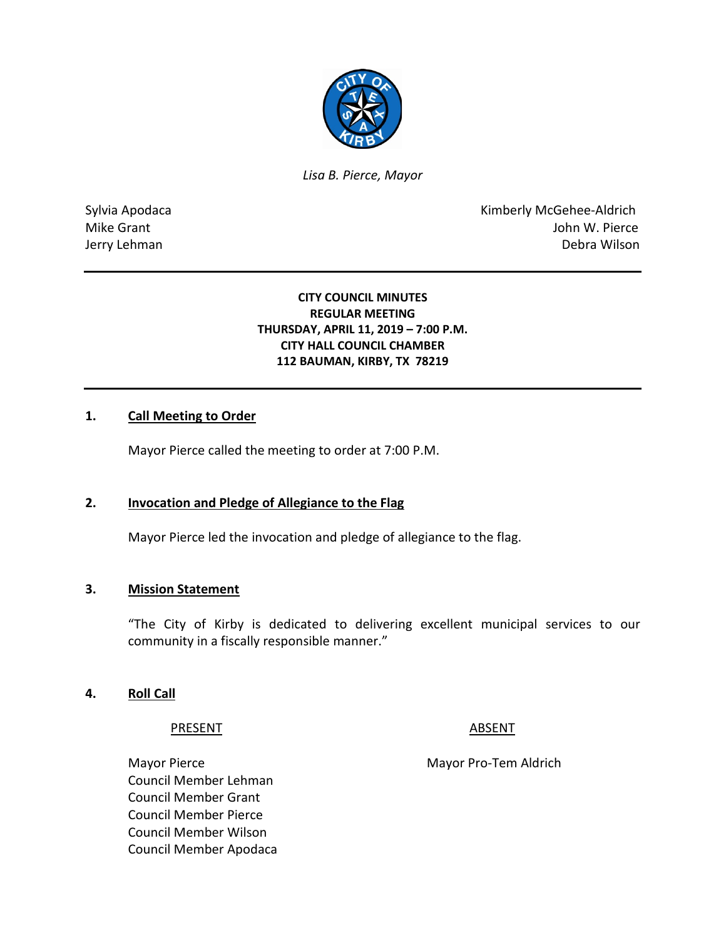

*Lisa B. Pierce, Mayor* 

Sylvia Apodaca **Kimberly McGehee-Aldrich** Mike Grant **Mike Grant** John W. Pierce Jerry Lehman Debra Wilson

#### **CITY COUNCIL MINUTES REGULAR MEETING THURSDAY, APRIL 11, 2019 – 7:00 P.M. CITY HALL COUNCIL CHAMBER 112 BAUMAN, KIRBY, TX 78219**

#### **1. Call Meeting to Order**

Mayor Pierce called the meeting to order at 7:00 P.M.

#### **2. Invocation and Pledge of Allegiance to the Flag**

Mayor Pierce led the invocation and pledge of allegiance to the flag.

#### **3. Mission Statement**

"The City of Kirby is dedicated to delivering excellent municipal services to our community in a fiscally responsible manner."

#### **4. Roll Call**

#### PRESENT ABSENT

Council Member Lehman Council Member Grant Council Member Pierce Council Member Wilson Council Member Apodaca

Mayor Pierce Mayor Pro-Tem Aldrich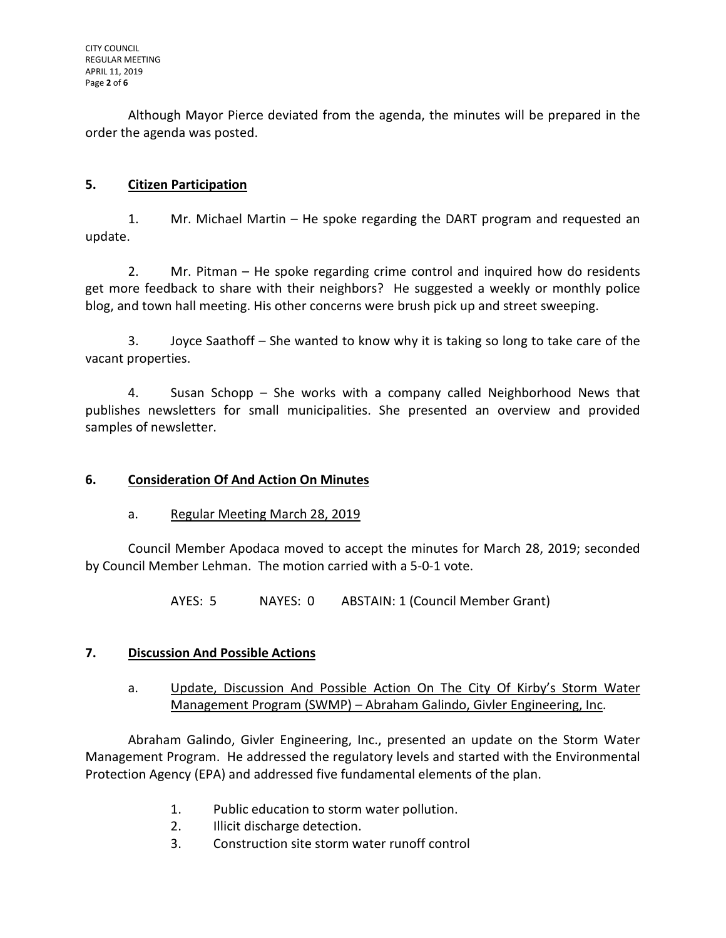Although Mayor Pierce deviated from the agenda, the minutes will be prepared in the order the agenda was posted.

# **5. Citizen Participation**

1. Mr. Michael Martin – He spoke regarding the DART program and requested an update.

2. Mr. Pitman – He spoke regarding crime control and inquired how do residents get more feedback to share with their neighbors? He suggested a weekly or monthly police blog, and town hall meeting. His other concerns were brush pick up and street sweeping.

3. Joyce Saathoff – She wanted to know why it is taking so long to take care of the vacant properties.

4. Susan Schopp – She works with a company called Neighborhood News that publishes newsletters for small municipalities. She presented an overview and provided samples of newsletter.

## **6. Consideration Of And Action On Minutes**

a. Regular Meeting March 28, 2019

Council Member Apodaca moved to accept the minutes for March 28, 2019; seconded by Council Member Lehman. The motion carried with a 5-0-1 vote.

AYES: 5 NAYES: 0 ABSTAIN: 1 (Council Member Grant)

## **7. Discussion And Possible Actions**

a. Update, Discussion And Possible Action On The City Of Kirby's Storm Water Management Program (SWMP) – Abraham Galindo, Givler Engineering, Inc.

Abraham Galindo, Givler Engineering, Inc., presented an update on the Storm Water Management Program. He addressed the regulatory levels and started with the Environmental Protection Agency (EPA) and addressed five fundamental elements of the plan.

- 1. Public education to storm water pollution.
- 2. Illicit discharge detection.
- 3. Construction site storm water runoff control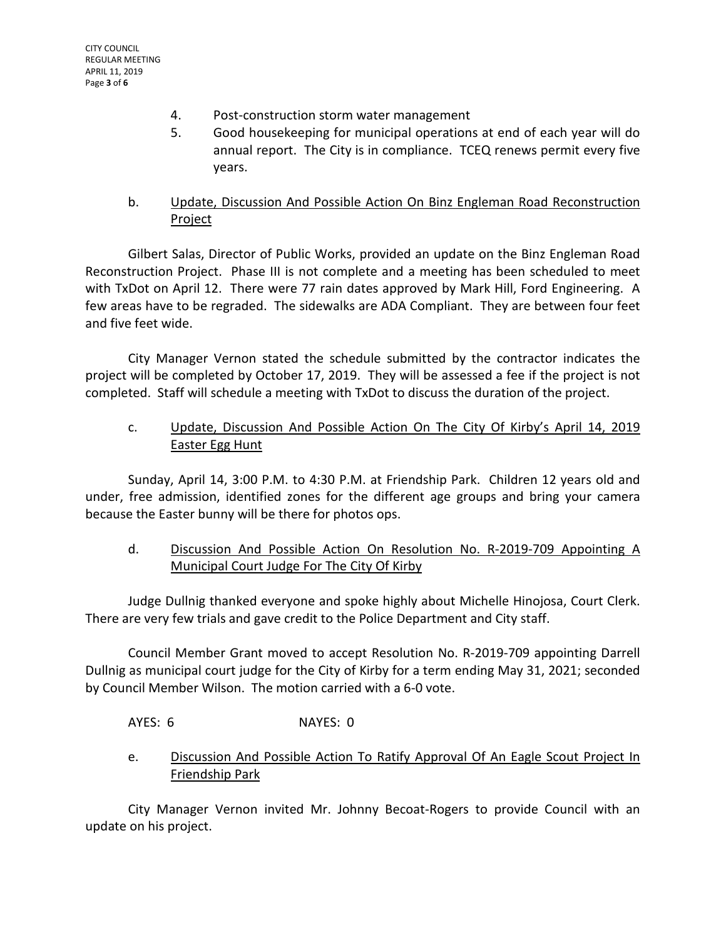- 4. Post-construction storm water management
- 5. Good housekeeping for municipal operations at end of each year will do annual report. The City is in compliance. TCEQ renews permit every five years.
- b. Update, Discussion And Possible Action On Binz Engleman Road Reconstruction Project

Gilbert Salas, Director of Public Works, provided an update on the Binz Engleman Road Reconstruction Project. Phase III is not complete and a meeting has been scheduled to meet with TxDot on April 12. There were 77 rain dates approved by Mark Hill, Ford Engineering. A few areas have to be regraded. The sidewalks are ADA Compliant. They are between four feet and five feet wide.

City Manager Vernon stated the schedule submitted by the contractor indicates the project will be completed by October 17, 2019. They will be assessed a fee if the project is not completed. Staff will schedule a meeting with TxDot to discuss the duration of the project.

# c. Update, Discussion And Possible Action On The City Of Kirby's April 14, 2019 Easter Egg Hunt

Sunday, April 14, 3:00 P.M. to 4:30 P.M. at Friendship Park. Children 12 years old and under, free admission, identified zones for the different age groups and bring your camera because the Easter bunny will be there for photos ops.

# d. Discussion And Possible Action On Resolution No. R-2019-709 Appointing A Municipal Court Judge For The City Of Kirby

Judge Dullnig thanked everyone and spoke highly about Michelle Hinojosa, Court Clerk. There are very few trials and gave credit to the Police Department and City staff.

Council Member Grant moved to accept Resolution No. R-2019-709 appointing Darrell Dullnig as municipal court judge for the City of Kirby for a term ending May 31, 2021; seconded by Council Member Wilson. The motion carried with a 6-0 vote.

## AYES: 6 NAYES: 0

e. Discussion And Possible Action To Ratify Approval Of An Eagle Scout Project In Friendship Park

City Manager Vernon invited Mr. Johnny Becoat-Rogers to provide Council with an update on his project.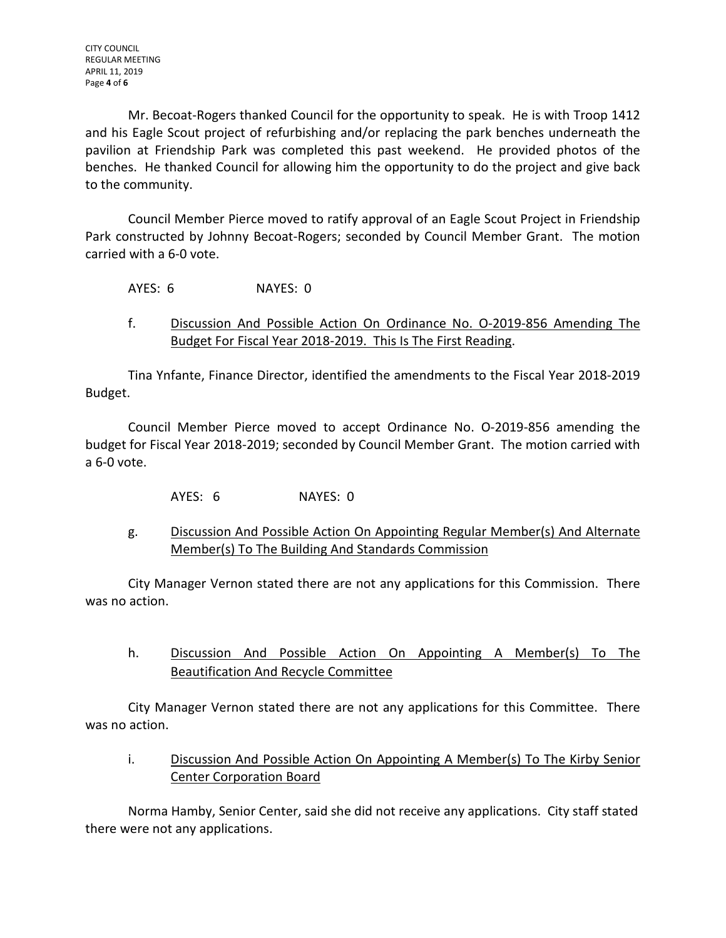Mr. Becoat-Rogers thanked Council for the opportunity to speak. He is with Troop 1412 and his Eagle Scout project of refurbishing and/or replacing the park benches underneath the pavilion at Friendship Park was completed this past weekend. He provided photos of the benches. He thanked Council for allowing him the opportunity to do the project and give back to the community.

Council Member Pierce moved to ratify approval of an Eagle Scout Project in Friendship Park constructed by Johnny Becoat-Rogers; seconded by Council Member Grant. The motion carried with a 6-0 vote.

AYES: 6 NAYES: 0

f. Discussion And Possible Action On Ordinance No. O-2019-856 Amending The Budget For Fiscal Year 2018-2019. This Is The First Reading.

Tina Ynfante, Finance Director, identified the amendments to the Fiscal Year 2018-2019 Budget.

Council Member Pierce moved to accept Ordinance No. O-2019-856 amending the budget for Fiscal Year 2018-2019; seconded by Council Member Grant. The motion carried with a 6-0 vote.

- AYES: 6 NAYES: 0
- g. Discussion And Possible Action On Appointing Regular Member(s) And Alternate Member(s) To The Building And Standards Commission

City Manager Vernon stated there are not any applications for this Commission. There was no action.

h. Discussion And Possible Action On Appointing A Member(s) To The Beautification And Recycle Committee

City Manager Vernon stated there are not any applications for this Committee. There was no action.

i. Discussion And Possible Action On Appointing A Member(s) To The Kirby Senior Center Corporation Board

Norma Hamby, Senior Center, said she did not receive any applications. City staff stated there were not any applications.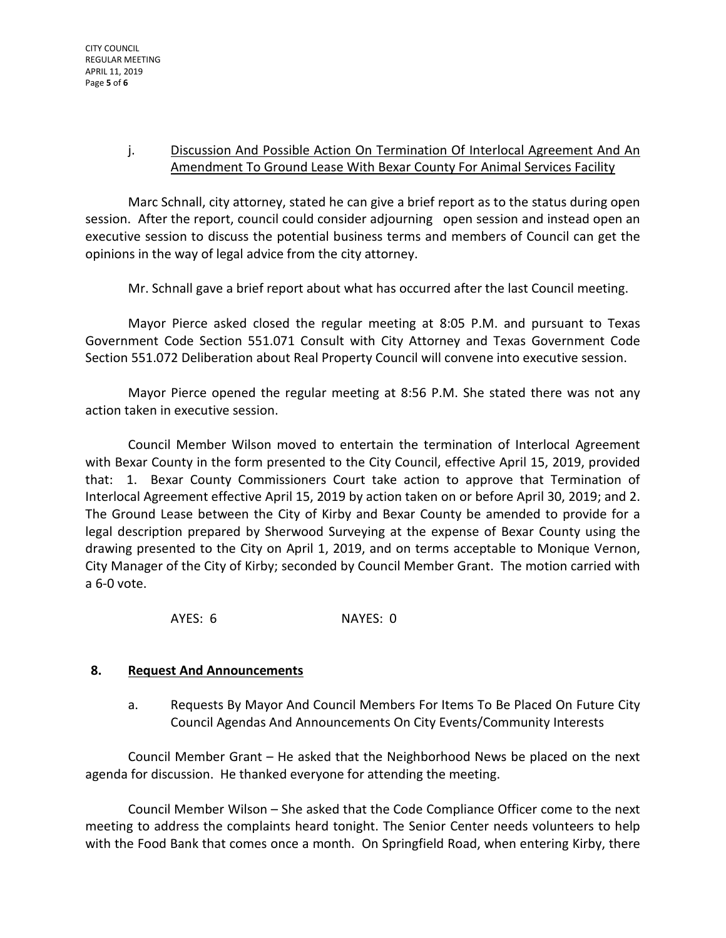# j. Discussion And Possible Action On Termination Of Interlocal Agreement And An Amendment To Ground Lease With Bexar County For Animal Services Facility

Marc Schnall, city attorney, stated he can give a brief report as to the status during open session. After the report, council could consider adjourning open session and instead open an executive session to discuss the potential business terms and members of Council can get the opinions in the way of legal advice from the city attorney.

Mr. Schnall gave a brief report about what has occurred after the last Council meeting.

Mayor Pierce asked closed the regular meeting at 8:05 P.M. and pursuant to Texas Government Code Section 551.071 Consult with City Attorney and Texas Government Code Section 551.072 Deliberation about Real Property Council will convene into executive session.

Mayor Pierce opened the regular meeting at 8:56 P.M. She stated there was not any action taken in executive session.

Council Member Wilson moved to entertain the termination of Interlocal Agreement with Bexar County in the form presented to the City Council, effective April 15, 2019, provided that: 1. Bexar County Commissioners Court take action to approve that Termination of Interlocal Agreement effective April 15, 2019 by action taken on or before April 30, 2019; and 2. The Ground Lease between the City of Kirby and Bexar County be amended to provide for a legal description prepared by Sherwood Surveying at the expense of Bexar County using the drawing presented to the City on April 1, 2019, and on terms acceptable to Monique Vernon, City Manager of the City of Kirby; seconded by Council Member Grant. The motion carried with a 6-0 vote.

AYES: 6 NAYES: 0

# **8. Request And Announcements**

a. Requests By Mayor And Council Members For Items To Be Placed On Future City Council Agendas And Announcements On City Events/Community Interests

Council Member Grant – He asked that the Neighborhood News be placed on the next agenda for discussion. He thanked everyone for attending the meeting.

Council Member Wilson – She asked that the Code Compliance Officer come to the next meeting to address the complaints heard tonight. The Senior Center needs volunteers to help with the Food Bank that comes once a month. On Springfield Road, when entering Kirby, there